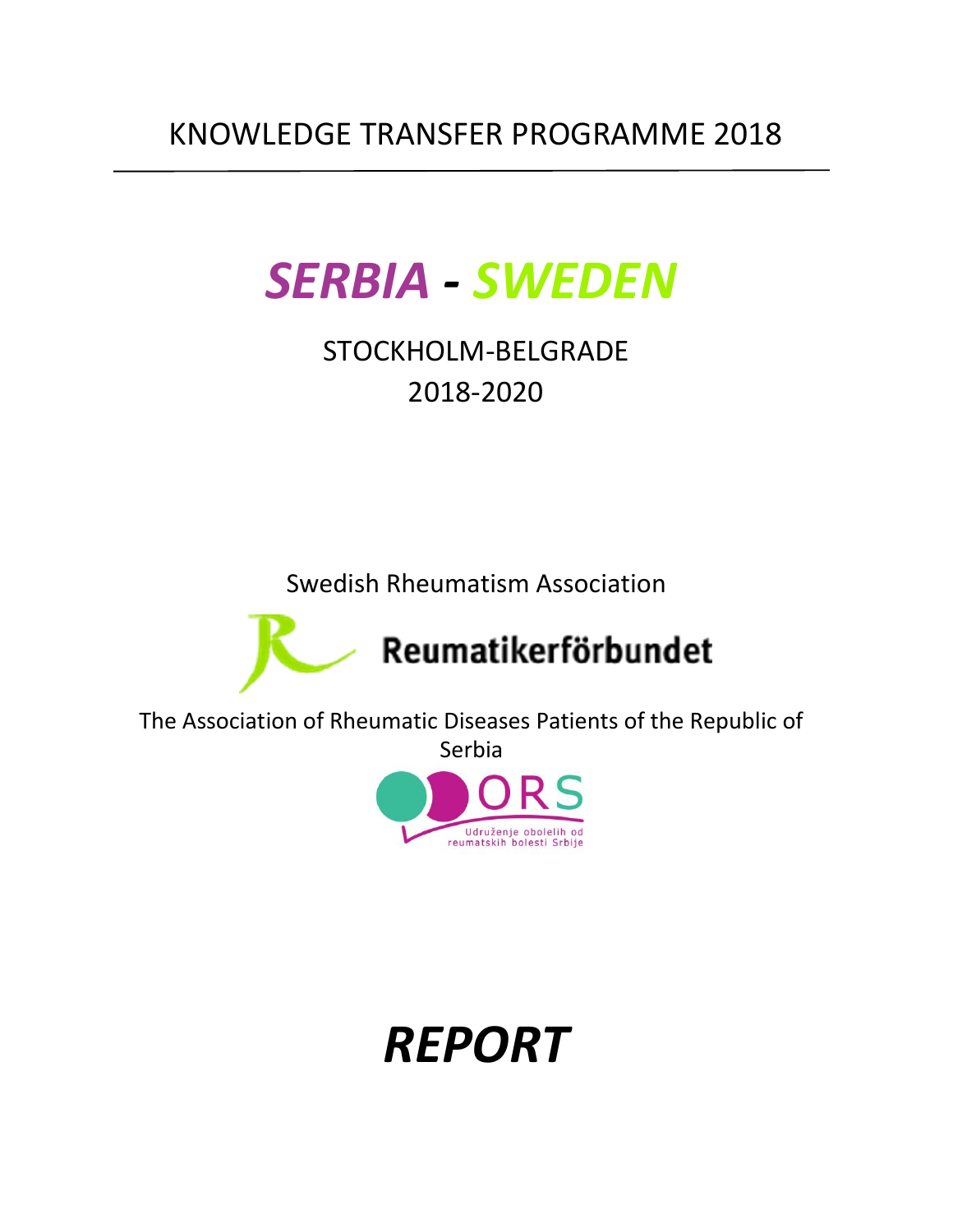# *SERBIA - SWEDEN*

STOCKHOLM-BELGRADE 2018-2020

Swedish Rheumatism Association



The Association of Rheumatic Diseases Patients of the Republic of Serbia



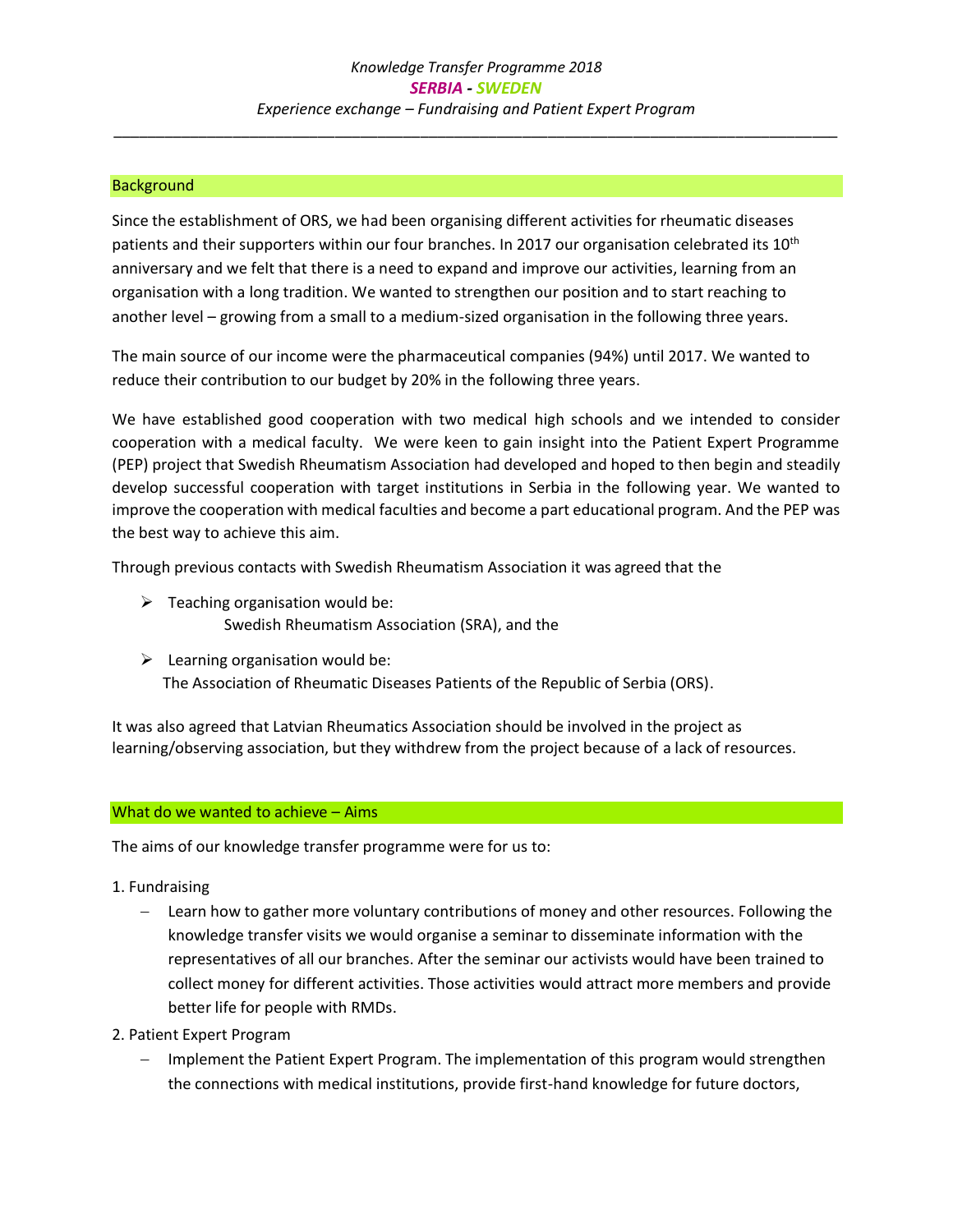#### **Background**

Since the establishment of ORS, we had been organising different activities for rheumatic diseases patients and their supporters within our four branches. In 2017 our organisation celebrated its 10<sup>th</sup> anniversary and we felt that there is a need to expand and improve our activities, learning from an organisation with a long tradition. We wanted to strengthen our position and to start reaching to another level – growing from a small to a medium-sized organisation in the following three years.

The main source of our income were the pharmaceutical companies (94%) until 2017. We wanted to reduce their contribution to our budget by 20% in the following three years.

We have established good cooperation with two medical high schools and we intended to consider cooperation with a medical faculty. We were keen to gain insight into the Patient Expert Programme (PEP) project that Swedish Rheumatism Association had developed and hoped to then begin and steadily develop successful cooperation with target institutions in Serbia in the following year. We wanted to improve the cooperation with medical faculties and become a part educational program. And the PEP was the best way to achieve this aim.

Through previous contacts with Swedish Rheumatism Association it was agreed that the

- $\triangleright$  Teaching organisation would be: Swedish Rheumatism Association (SRA), and the
- $\triangleright$  Learning organisation would be: The Association of Rheumatic Diseases Patients of the Republic of Serbia (ORS).

It was also agreed that Latvian Rheumatics Association should be involved in the project as learning/observing association, but they withdrew from the project because of a lack of resources.

#### What do we wanted to achieve – Aims

The aims of our knowledge transfer programme were for us to:

- 1. Fundraising
	- − Learn how to gather more voluntary contributions of money and other resources. Following the knowledge transfer visits we would organise a seminar to disseminate information with the representatives of all our branches. After the seminar our activists would have been trained to collect money for different activities. Those activities would attract more members and provide better life for people with RMDs.
- 2. Patient Expert Program
	- − Implement the Patient Expert Program. The implementation of this program would strengthen the connections with medical institutions, provide first-hand knowledge for future doctors,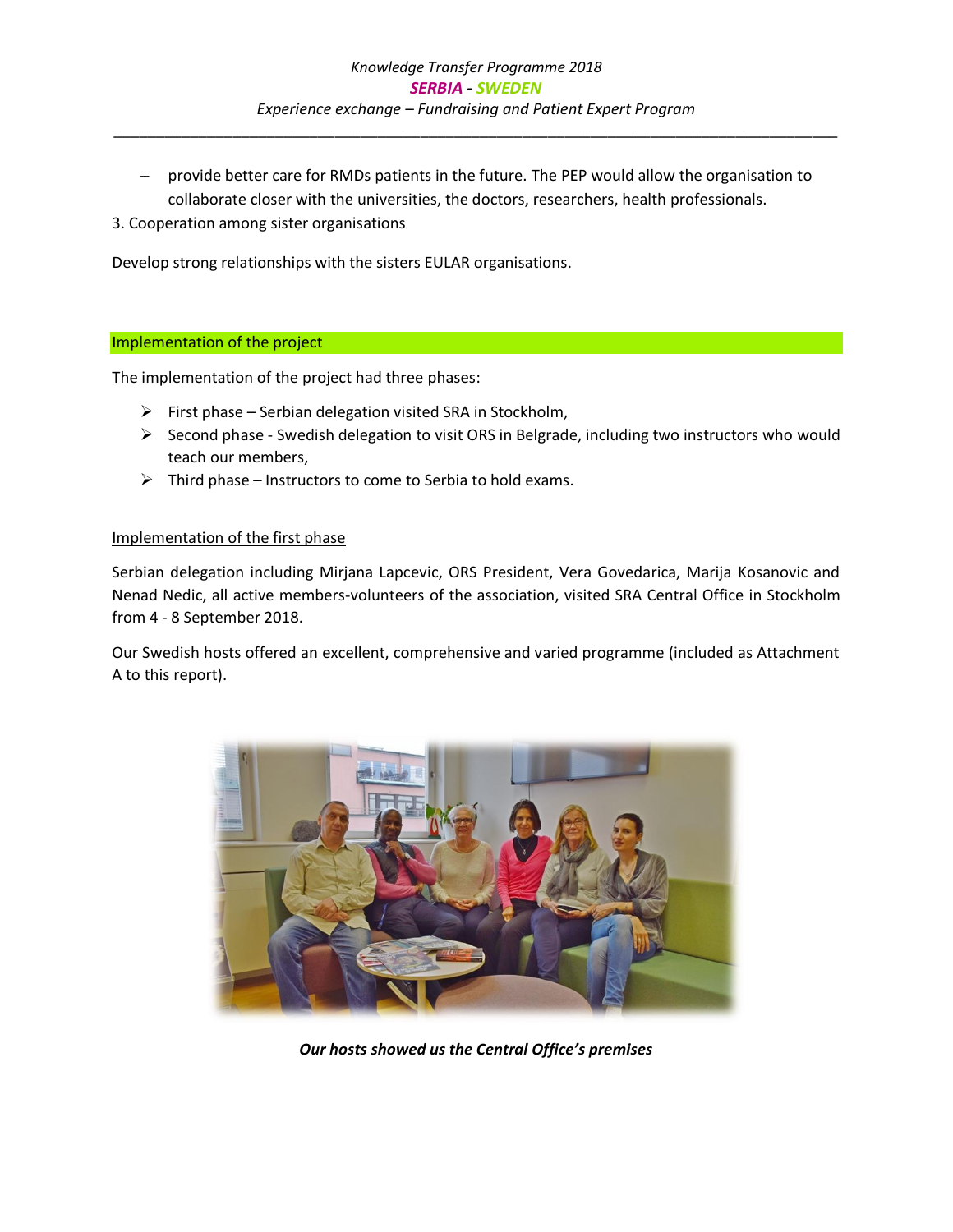- − provide better care for RMDs patients in the future. The PEP would allow the organisation to collaborate closer with the universities, the doctors, researchers, health professionals.
- 3. Cooperation among sister organisations

Develop strong relationships with the sisters EULAR organisations.

#### Implementation of the project

The implementation of the project had three phases:

- ➢ First phase Serbian delegation visited SRA in Stockholm,
- $\triangleright$  Second phase Swedish delegation to visit ORS in Belgrade, including two instructors who would teach our members,
- $\triangleright$  Third phase Instructors to come to Serbia to hold exams.

#### Implementation of the first phase

Serbian delegation including Mirjana Lapcevic, ORS President, Vera Govedarica, Marija Kosanovic and Nenad Nedic, all active members-volunteers of the association, visited SRA Central Office in Stockholm from 4 - 8 September 2018.

Our Swedish hosts offered an excellent, comprehensive and varied programme (included as Attachment A to this report).



*Our hosts showed us the Central Office's premises*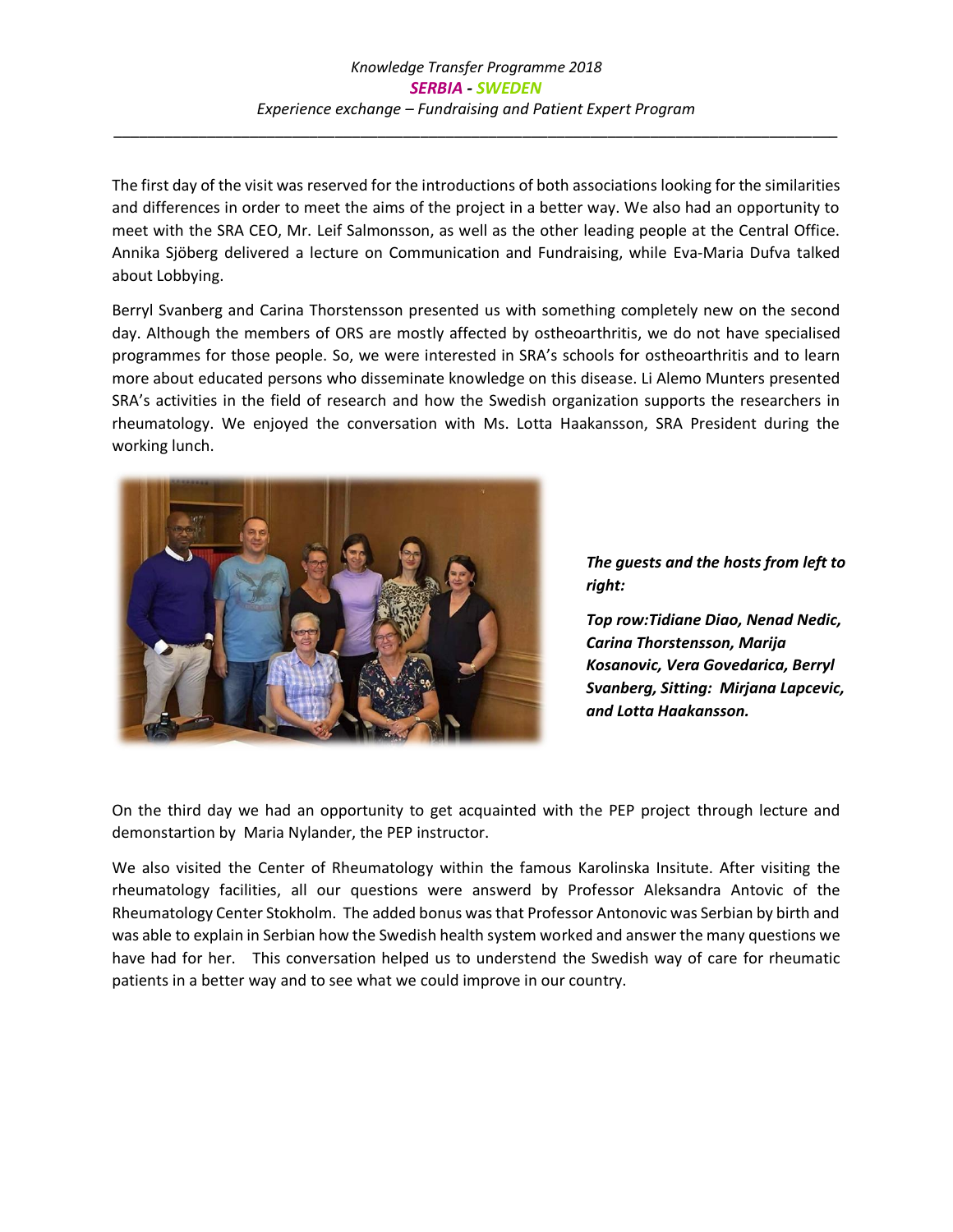The first day of the visit was reserved for the introductions of both associations looking for the similarities and differences in order to meet the aims of the project in a better way. We also had an opportunity to meet with the SRA CEO, Mr. Leif Salmonsson, as well as the other leading people at the Central Office. Annika Sjöberg delivered a lecture on Communication and Fundraising, while Eva-Maria Dufva talked about Lobbying.

Berryl Svanberg and Carina Thorstensson presented us with something completely new on the second day. Although the members of ORS are mostly affected by ostheoarthritis, we do not have specialised programmes for those people. So, we were interested in SRA's schools for ostheoarthritis and to learn more about educated persons who disseminate knowledge on this disease. Li Alemo Munters presented SRA's activities in the field of research and how the Swedish organization supports the researchers in rheumatology. We enjoyed the conversation with Ms. Lotta Haakansson, SRA President during the working lunch.



*The guests and the hosts from left to right:* 

*Top row:Tidiane Diao, Nenad Nedic, Carina Thorstensson, Marija Kosanovic, Vera Govedarica, Berryl Svanberg, Sitting: Mirjana Lapcevic, and Lotta Haakansson.*

On the third day we had an opportunity to get acquainted with the PEP project through lecture and demonstartion by Maria Nylander, the PEP instructor.

We also visited the Center of Rheumatology within the famous Karolinska Insitute. After visiting the rheumatology facilities, all our questions were answerd by Professor Aleksandra Antovic of the Rheumatology Center Stokholm. The added bonus was that Professor Antonovic was Serbian by birth and was able to explain in Serbian how the Swedish health system worked and answer the many questions we have had for her. This conversation helped us to understend the Swedish way of care for rheumatic patients in a better way and to see what we could improve in our country.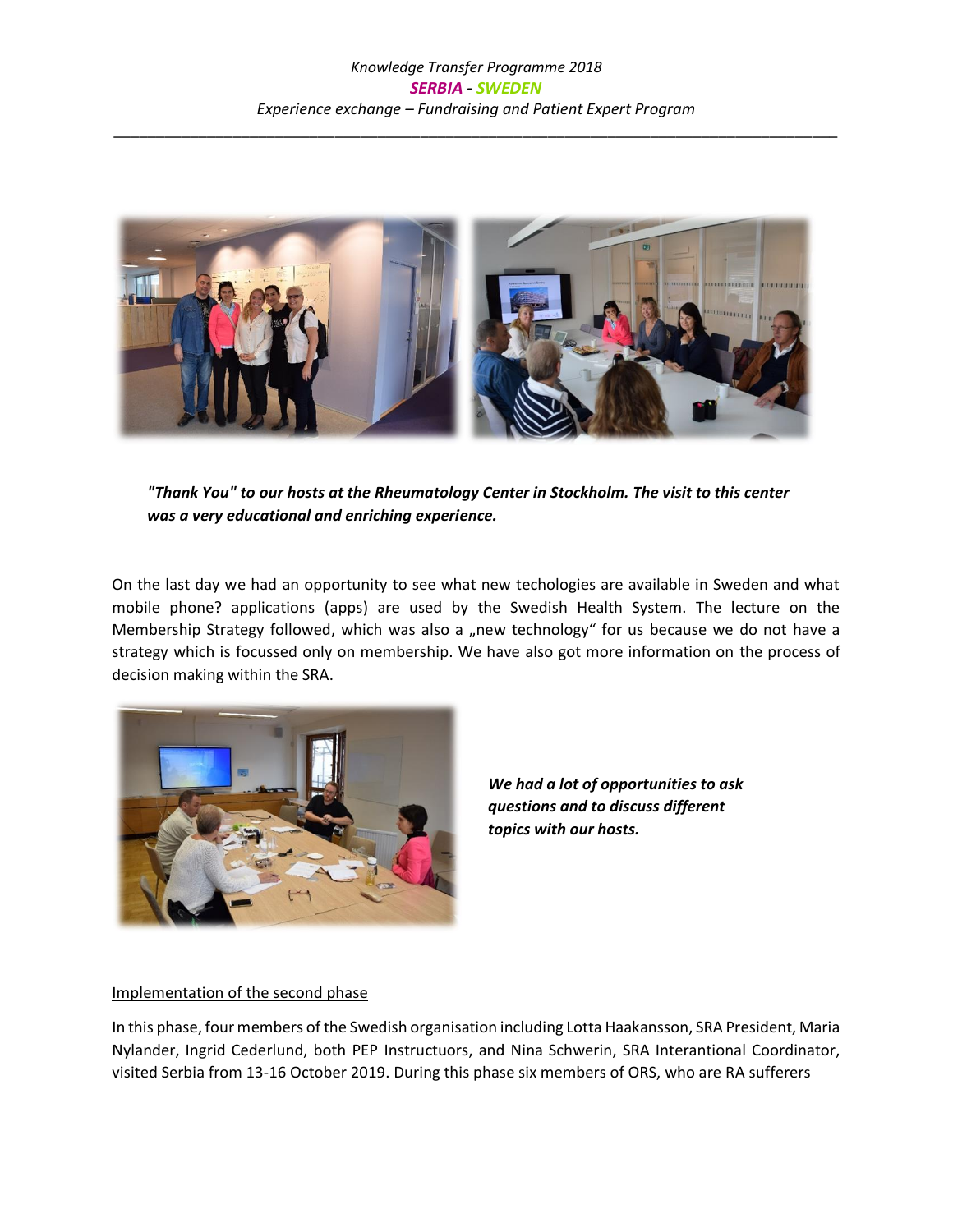

*"Thank You" to our hosts at the Rheumatology Center in Stockholm. The visit to this center was a very educational and enriching experience.*

On the last day we had an opportunity to see what new techologies are available in Sweden and what mobile phone? applications (apps) are used by the Swedish Health System. The lecture on the Membership Strategy followed, which was also a "new technology" for us because we do not have a strategy which is focussed only on membership. We have also got more information on the process of decision making within the SRA.



*We had a lot of opportunities to ask questions and to discuss different topics with our hosts.*

#### Implementation of the second phase

In this phase, four members of the Swedish organisation including Lotta Haakansson, SRA President, Maria Nylander, Ingrid Cederlund, both PEP Instructuors, and Nina Schwerin, SRA Interantional Coordinator, visited Serbia from 13-16 October 2019. During this phase six members of ORS, who are RA sufferers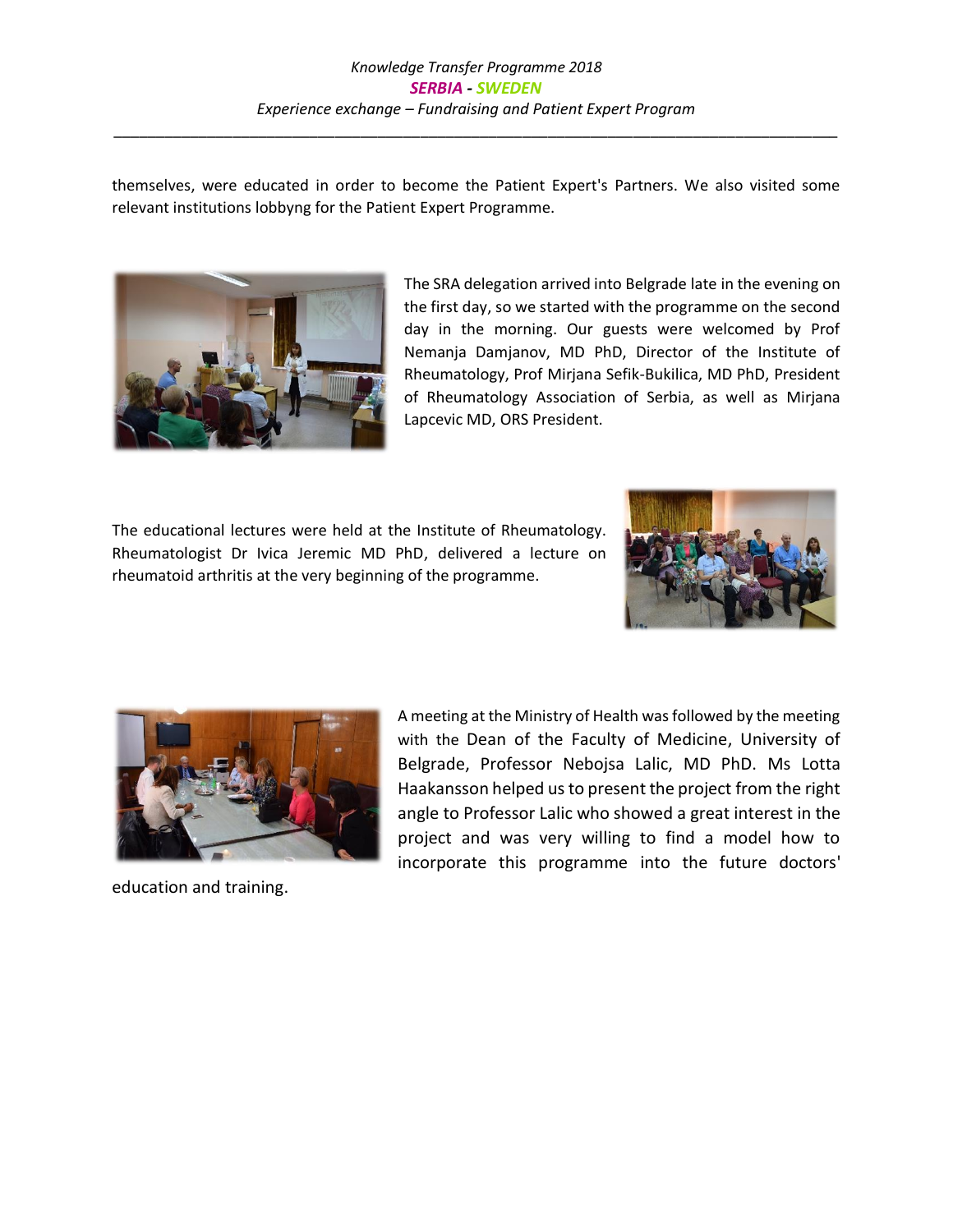themselves, were educated in order to become the Patient Expert's Partners. We also visited some relevant institutions lobbyng for the Patient Expert Programme.



The SRA delegation arrived into Belgrade late in the evening on the first day, so we started with the programme on the second day in the morning. Our guests were welcomed by Prof Nemanja Damjanov, MD PhD, Director of the Institute of Rheumatology, Prof Mirjana Sefik-Bukilica, MD PhD, President of Rheumatology Association of Serbia, as well as Mirjana Lapcevic MD, ORS President.

The educational lectures were held at the Institute of Rheumatology. Rheumatologist Dr Ivica Jeremic MD PhD, delivered a lecture on rheumatoid arthritis at the very beginning of the programme.





education and training.

A meeting at the Ministry of Health was followed by the meeting with the Dean of the Faculty of Medicine, University of Belgrade, Professor Nebojsa Lalic, MD PhD. Ms Lotta Haakansson helped us to present the project from the right angle to Professor Lalic who showed a great interest in the project and was very willing to find a model how to incorporate this programme into the future doctors'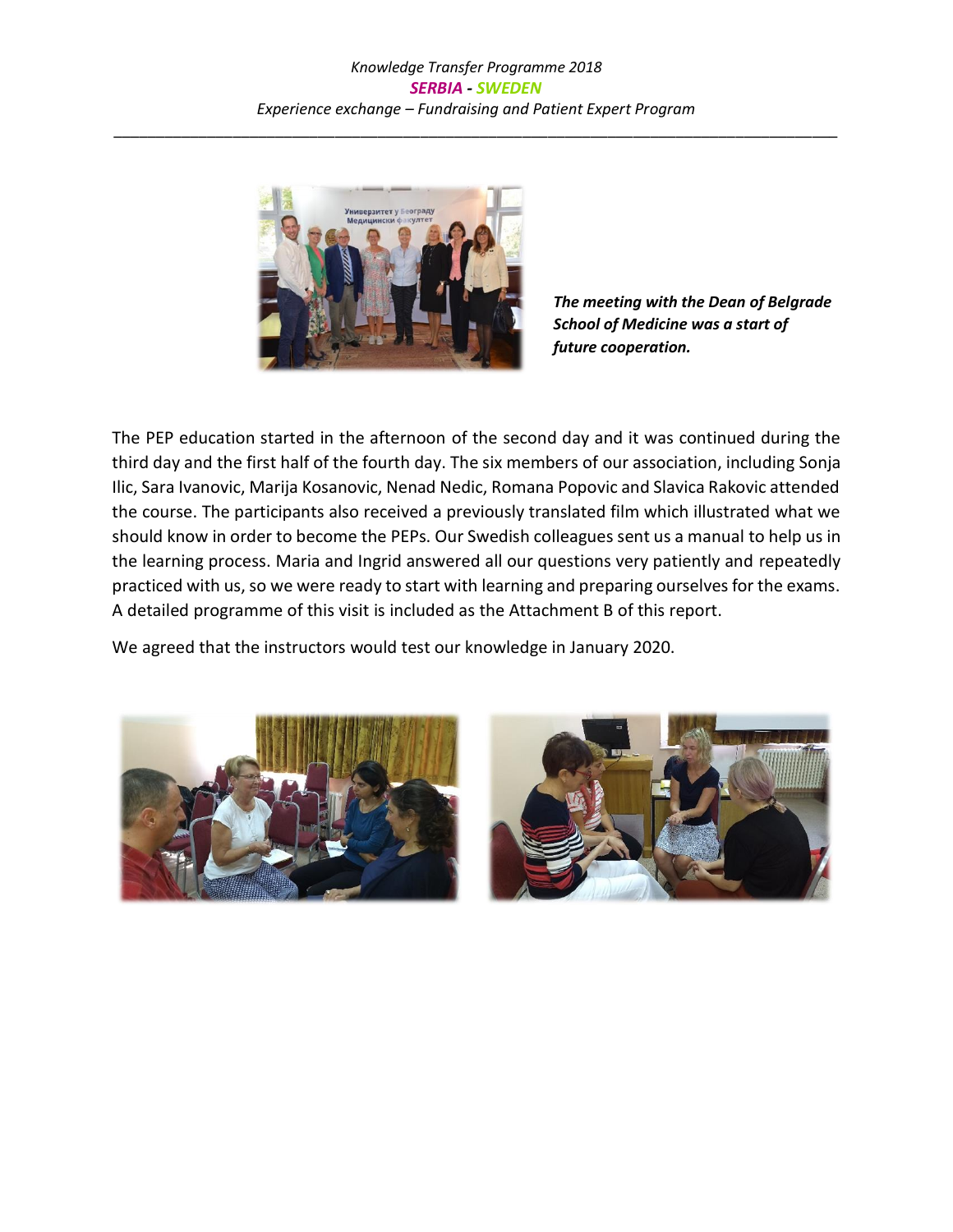

*The meeting with the Dean of Belgrade School of Medicine was a start of future cooperation.* 

The PEP education started in the afternoon of the second day and it was continued during the third day and the first half of the fourth day. The six members of our association, including Sonja Ilic, Sara Ivanovic, Marija Kosanovic, Nenad Nedic, Romana Popovic and Slavica Rakovic attended the course. The participants also received a previously translated film which illustrated what we should know in order to become the PEPs. Our Swedish colleagues sent us a manual to help us in the learning process. Maria and Ingrid answered all our questions very patiently and repeatedly practiced with us, so we were ready to start with learning and preparing ourselves for the exams. A detailed programme of this visit is included as the Attachment B of this report.

We agreed that the instructors would test our knowledge in January 2020.

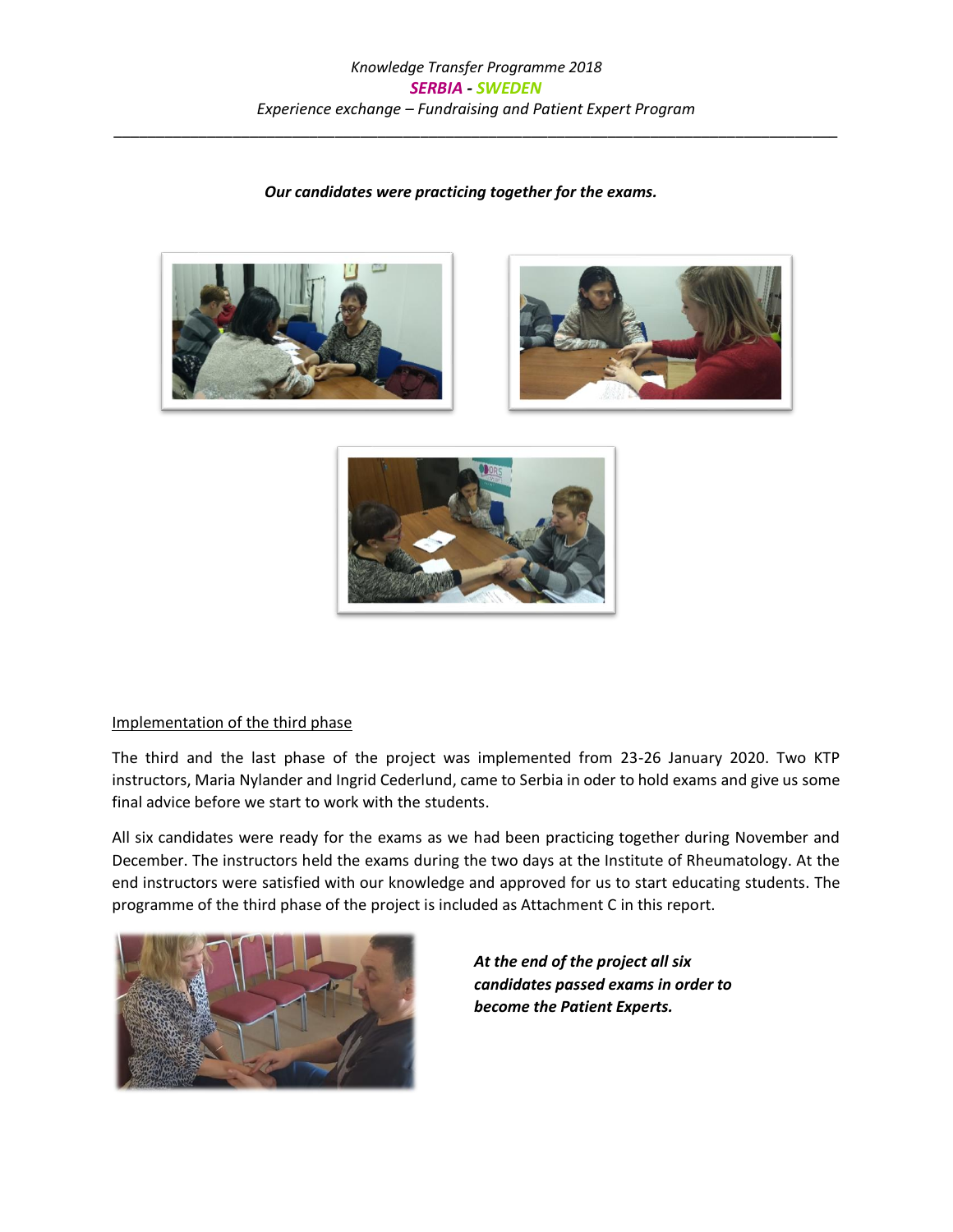#### *Our candidates were practicing together for the exams.*







#### Implementation of the third phase

The third and the last phase of the project was implemented from 23-26 January 2020. Two KTP instructors, Maria Nylander and Ingrid Cederlund, came to Serbia in oder to hold exams and give us some final advice before we start to work with the students.

All six candidates were ready for the exams as we had been practicing together during November and December. The instructors held the exams during the two days at the Institute of Rheumatology. At the end instructors were satisfied with our knowledge and approved for us to start educating students. The programme of the third phase of the project is included as Attachment C in this report.



*At the end of the project all six candidates passed exams in order to become the Patient Experts.*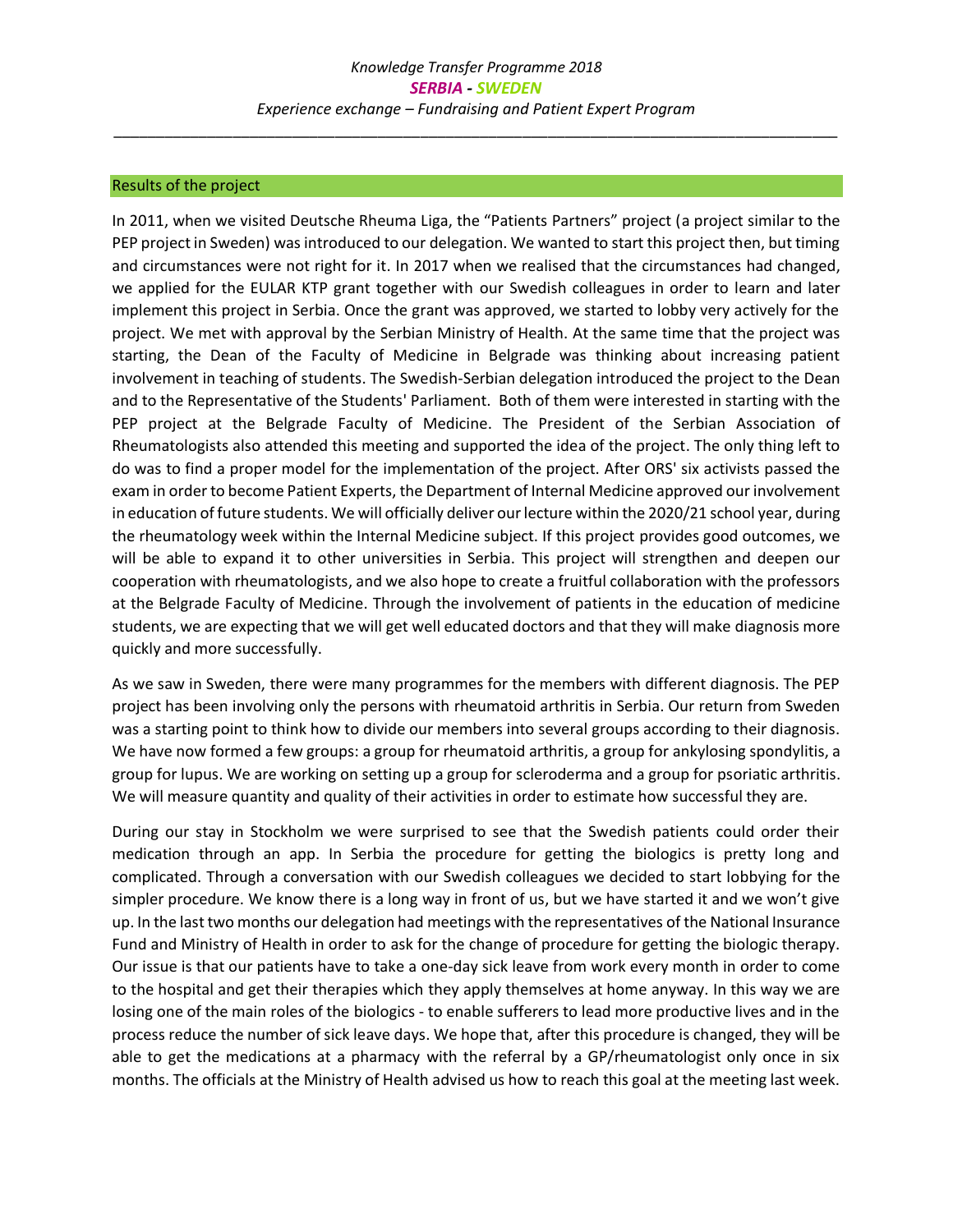#### Results of the project

In 2011, when we visited Deutsche Rheuma Liga, the "Patients Partners" project (a project similar to the PEP project in Sweden) was introduced to our delegation. We wanted to start this project then, but timing and circumstances were not right for it. In 2017 when we realised that the circumstances had changed, we applied for the EULAR KTP grant together with our Swedish colleagues in order to learn and later implement this project in Serbia. Once the grant was approved, we started to lobby very actively for the project. We met with approval by the Serbian Ministry of Health. At the same time that the project was starting, the Dean of the Faculty of Medicine in Belgrade was thinking about increasing patient involvement in teaching of students. The Swedish-Serbian delegation introduced the project to the Dean and to the Representative of the Students' Parliament. Both of them were interested in starting with the PEP project at the Belgrade Faculty of Medicine. The President of the Serbian Association of Rheumatologists also attended this meeting and supported the idea of the project. The only thing left to do was to find a proper model for the implementation of the project. After ORS' six activists passed the exam in order to become Patient Experts, the Department of Internal Medicine approved our involvement in education of future students. We will officially deliver our lecture within the 2020/21 school year, during the rheumatology week within the Internal Medicine subject. If this project provides good outcomes, we will be able to expand it to other universities in Serbia. This project will strengthen and deepen our cooperation with rheumatologists, and we also hope to create a fruitful collaboration with the professors at the Belgrade Faculty of Medicine. Through the involvement of patients in the education of medicine students, we are expecting that we will get well educated doctors and that they will make diagnosis more quickly and more successfully.

As we saw in Sweden, there were many programmes for the members with different diagnosis. The PEP project has been involving only the persons with rheumatoid arthritis in Serbia. Our return from Sweden was a starting point to think how to divide our members into several groups according to their diagnosis. We have now formed a few groups: a group for rheumatoid arthritis, a group for ankylosing spondylitis, a group for lupus. We are working on setting up a group for scleroderma and a group for psoriatic arthritis. We will measure quantity and quality of their activities in order to estimate how successful they are.

During our stay in Stockholm we were surprised to see that the Swedish patients could order their medication through an app. In Serbia the procedure for getting the biologics is pretty long and complicated. Through a conversation with our Swedish colleagues we decided to start lobbying for the simpler procedure. We know there is a long way in front of us, but we have started it and we won't give up. In the last two months our delegation had meetings with the representatives of the National Insurance Fund and Ministry of Health in order to ask for the change of procedure for getting the biologic therapy. Our issue is that our patients have to take a one-day sick leave from work every month in order to come to the hospital and get their therapies which they apply themselves at home anyway. In this way we are losing one of the main roles of the biologics - to enable sufferers to lead more productive lives and in the process reduce the number of sick leave days. We hope that, after this procedure is changed, they will be able to get the medications at a pharmacy with the referral by a GP/rheumatologist only once in six months. The officials at the Ministry of Health advised us how to reach this goal at the meeting last week.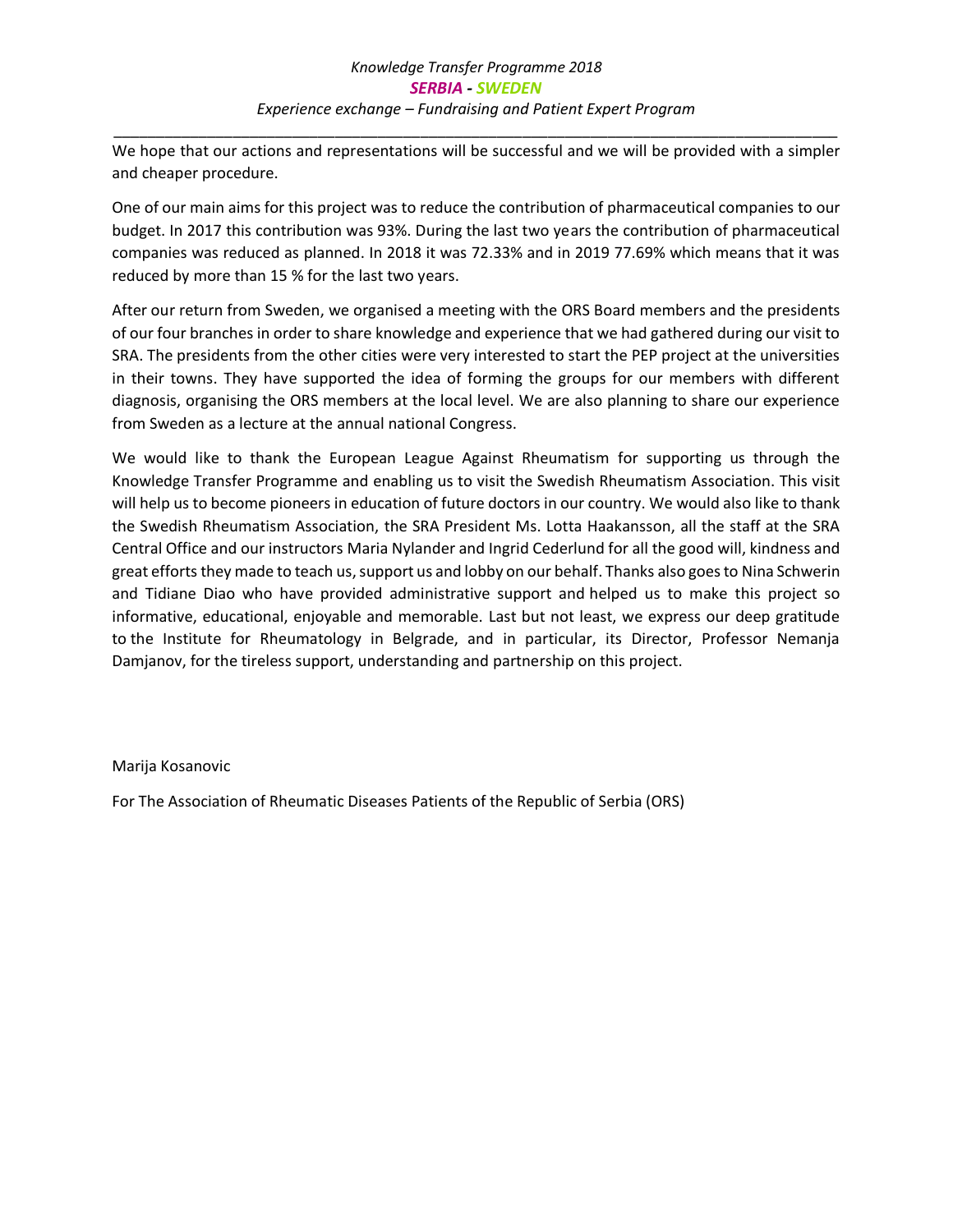\_\_\_\_\_\_\_\_\_\_\_\_\_\_\_\_\_\_\_\_\_\_\_\_\_\_\_\_\_\_\_\_\_\_\_\_\_\_\_\_\_\_\_\_\_\_\_\_\_\_\_\_\_\_\_\_\_\_\_\_\_\_\_\_\_\_\_\_\_\_\_\_\_\_\_\_\_\_\_\_\_\_\_\_\_ We hope that our actions and representations will be successful and we will be provided with a simpler and cheaper procedure.

One of our main aims for this project was to reduce the contribution of pharmaceutical companies to our budget. In 2017 this contribution was 93%. During the last two years the contribution of pharmaceutical companies was reduced as planned. In 2018 it was 72.33% and in 2019 77.69% which means that it was reduced by more than 15 % for the last two years.

After our return from Sweden, we organised a meeting with the ORS Board members and the presidents of our four branches in order to share knowledge and experience that we had gathered during our visit to SRA. The presidents from the other cities were very interested to start the PEP project at the universities in their towns. They have supported the idea of forming the groups for our members with different diagnosis, organising the ORS members at the local level. We are also planning to share our experience from Sweden as a lecture at the annual national Congress.

We would like to thank the European League Against Rheumatism for supporting us through the Knowledge Transfer Programme and enabling us to visit the Swedish Rheumatism Association. This visit will help us to become pioneers in education of future doctors in our country. We would also like to thank the Swedish Rheumatism Association, the SRA President Ms. Lotta Haakansson, all the staff at the SRA Central Office and our instructors Maria Nylander and Ingrid Cederlund for all the good will, kindness and great efforts they made to teach us, support us and lobby on our behalf. Thanks also goes to Nina Schwerin and Tidiane Diao who have provided administrative support and helped us to make this project so informative, educational, enjoyable and memorable. Last but not least, we express our deep gratitude to the Institute for Rheumatology in Belgrade, and in particular, its Director, Professor Nemanja Damjanov, for the tireless support, understanding and partnership on this project.

#### Marija Kosanovic

For The Association of Rheumatic Diseases Patients of the Republic of Serbia (ORS)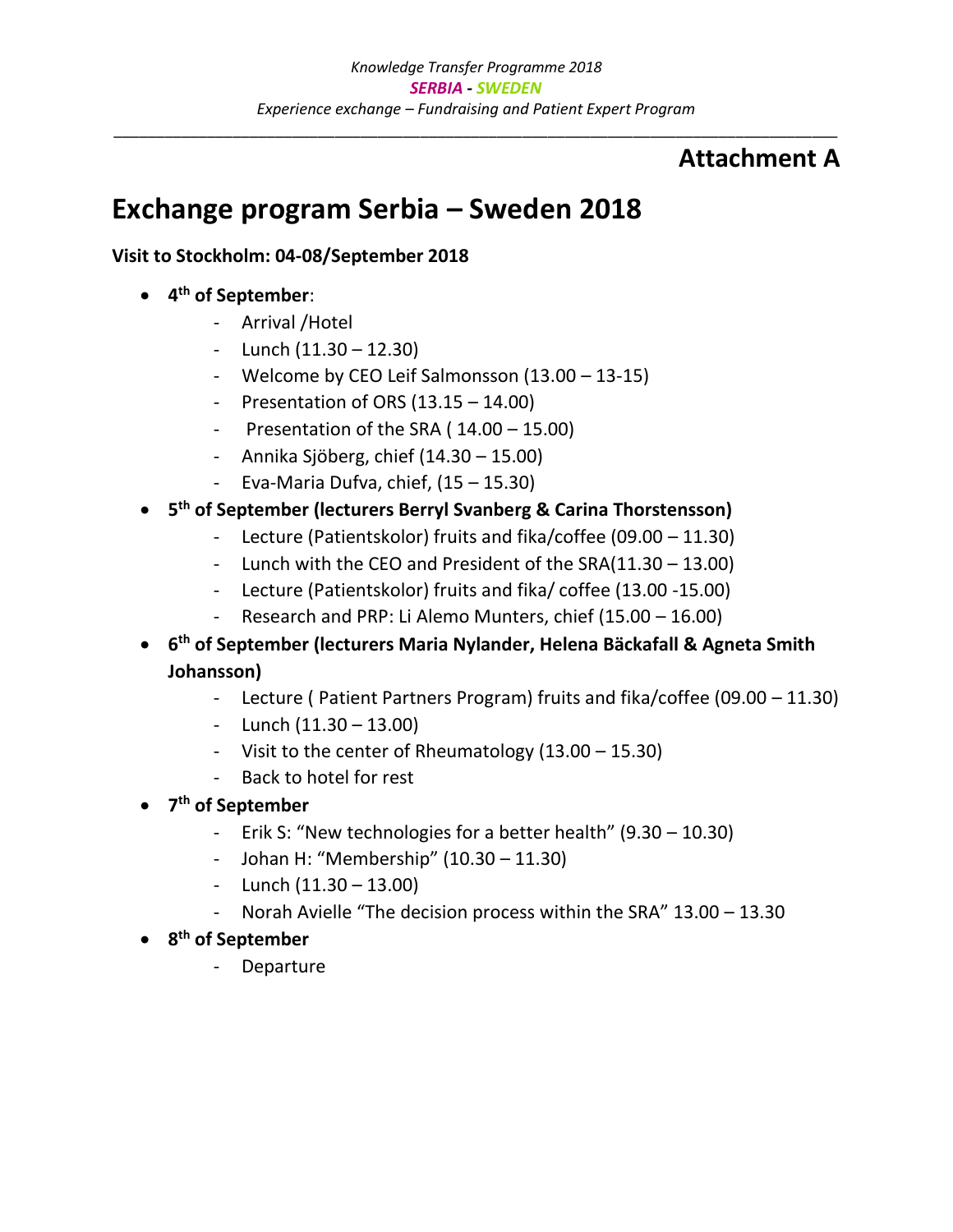## **Attachment A**

## **Exchange program Serbia – Sweden 2018**

## **Visit to Stockholm: 04-08/September 2018**

- **4 th of September**:
	- Arrival /Hotel
	- Lunch  $(11.30 12.30)$
	- Welcome by CEO Leif Salmonsson (13.00 13-15)
	- Presentation of ORS (13.15 14.00)
	- Presentation of the SRA ( 14.00 15.00)
	- Annika Sjöberg, chief (14.30 15.00)
	- Eva-Maria Dufva, chief,  $(15 15.30)$
- **5 th of September (lecturers Berryl Svanberg & Carina Thorstensson)**
	- Lecture (Patientskolor) fruits and fika/coffee (09.00 11.30)
	- Lunch with the CEO and President of the SRA(11.30 13.00)
	- Lecture (Patientskolor) fruits and fika/ coffee (13.00 -15.00)
	- Research and PRP: Li Alemo Munters, chief (15.00 16.00)
- **6 th of September (lecturers Maria Nylander, Helena Bäckafall & Agneta Smith Johansson)**
	- Lecture ( Patient Partners Program) fruits and fika/coffee (09.00 11.30)
	- Lunch  $(11.30 13.00)$
	- Visit to the center of Rheumatology (13.00 15.30)
	- Back to hotel for rest
- **7 th of September**
	- Erik S: "New technologies for a better health" (9.30 10.30)
	- Johan H: "Membership" (10.30 11.30)
	- Lunch  $(11.30 13.00)$
	- Norah Avielle "The decision process within the SRA" 13.00 13.30
- **8 th of September**
	- **Departure**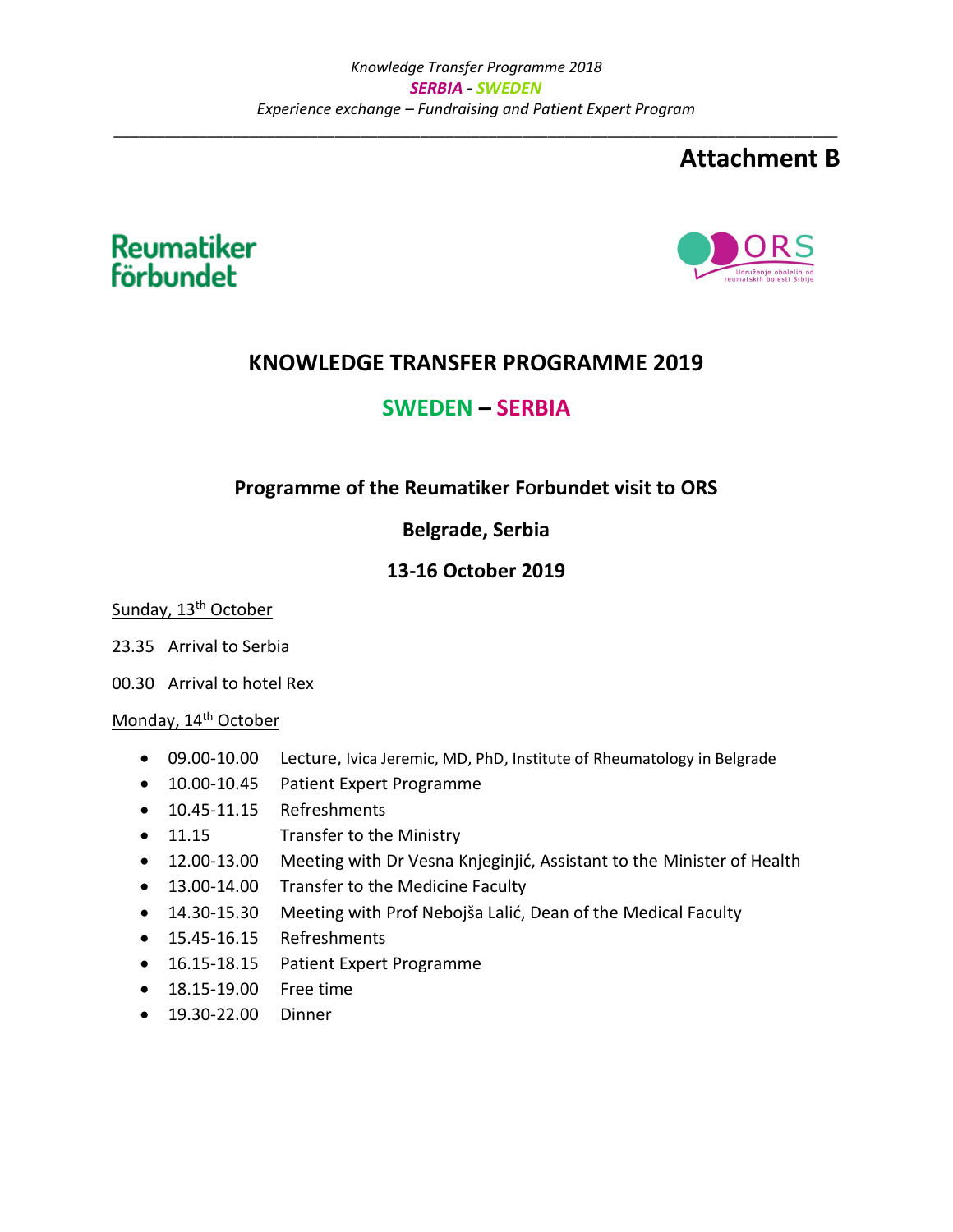## **Attachment B**





## **KNOWLEDGE TRANSFER PROGRAMME 2019**

## **SWEDEN – SERBIA**

## **Programme of the Reumatiker FOrbundet visit to ORS**

## **Belgrade, Serbia**

## **13-16 October 2019**

Sunday, 13<sup>th</sup> October

- 23.35 Arrival to Serbia
- 00.30 Arrival to hotel Rex

#### Monday, 14<sup>th</sup> October

- 09.00-10.00 Lecture, Ivica Jeremic, MD, PhD, Institute of Rheumatology in Belgrade
- 10.00-10.45 Patient Expert Programme
- 10.45-11.15 Refreshments
- 11.15 Transfer to the Ministry
- 12.00-13.00 Meeting with Dr Vesna Knjeginjić, Assistant to the Minister of Health
- 13.00-14.00 Transfer to the Medicine Faculty
- 14.30-15.30 Meeting with Prof Nebojša Lalić, Dean of the Medical Faculty
- 15.45-16.15 Refreshments
- 16.15-18.15 Patient Expert Programme
- 18.15-19.00 Free time
- 19.30-22.00 Dinner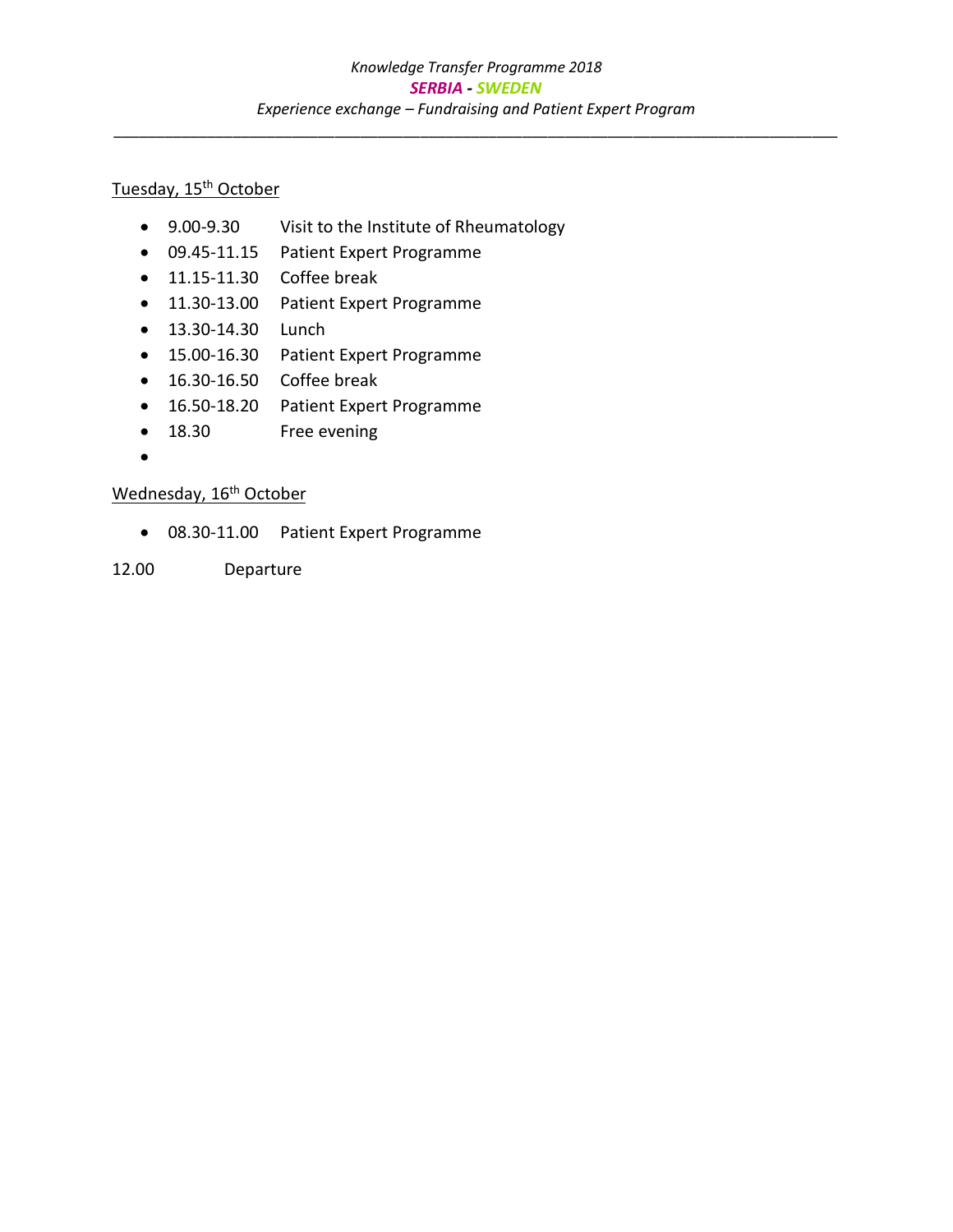## Tuesday, 15<sup>th</sup> October

- 9.00-9.30 Visit to the Institute of Rheumatology
- 09.45-11.15 Patient Expert Programme
- 11.15-11.30 Coffee break
- 11.30-13.00 Patient Expert Programme
- 13.30-14.30 Lunch
- 15.00-16.30 Patient Expert Programme
- 16.30-16.50 Coffee break
- 16.50-18.20 Patient Expert Programme
- 18.30 Free evening
- $\bullet$

## Wednesday, 16<sup>th</sup> October

- 08.30-11.00 Patient Expert Programme
- 12.00 Departure